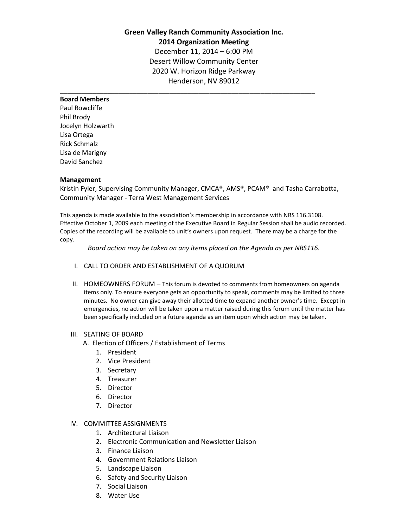# **Green Valley Ranch Community Association Inc. 2014 Organization Meeting** December 11, 2014 – 6:00 PM Desert Willow Community Center 2020 W. Horizon Ridge Parkway Henderson, NV 89012

\_\_\_\_\_\_\_\_\_\_\_\_\_\_\_\_\_\_\_\_\_\_\_\_\_\_\_\_\_\_\_\_\_\_\_\_\_\_\_\_\_\_\_\_\_\_\_\_\_\_\_\_\_\_\_\_\_\_\_\_\_\_\_\_\_\_\_\_\_\_

## **Board Members**

Paul Rowcliffe Phil Brody Jocelyn Holzwarth Lisa Ortega Rick Schmalz Lisa de Marigny David Sanchez

#### **Management**

Kristin Fyler, Supervising Community Manager, CMCA®, AMS®, PCAM® and Tasha Carrabotta, Community Manager - Terra West Management Services

This agenda is made available to the association's membership in accordance with NRS 116.3108. Effective October 1, 2009 each meeting of the Executive Board in Regular Session shall be audio recorded. Copies of the recording will be available to unit's owners upon request. There may be a charge for the copy.

*Board action may be taken on any items placed on the Agenda as per NRS116.*

- I. CALL TO ORDER AND ESTABLISHMENT OF A QUORUM
- II. HOMEOWNERS FORUM This forum is devoted to comments from homeowners on agenda items only. To ensure everyone gets an opportunity to speak, comments may be limited to three minutes. No owner can give away their allotted time to expand another owner's time. Except in emergencies, no action will be taken upon a matter raised during this forum until the matter has been specifically included on a future agenda as an item upon which action may be taken.

## III. SEATING OF BOARD

- A. Election of Officers / Establishment of Terms
	- 1. President
	- 2. Vice President
	- 3. Secretary
	- 4. Treasurer
	- 5. Director
	- 6. Director
	- 7. Director

## IV. COMMITTEE ASSIGNMENTS

- 1. Architectural Liaison
- 2. Electronic Communication and Newsletter Liaison
- 3. Finance Liaison
- 4. Government Relations Liaison
- 5. Landscape Liaison
- 6. Safety and Security Liaison
- 7. Social Liaison
- 8. Water Use